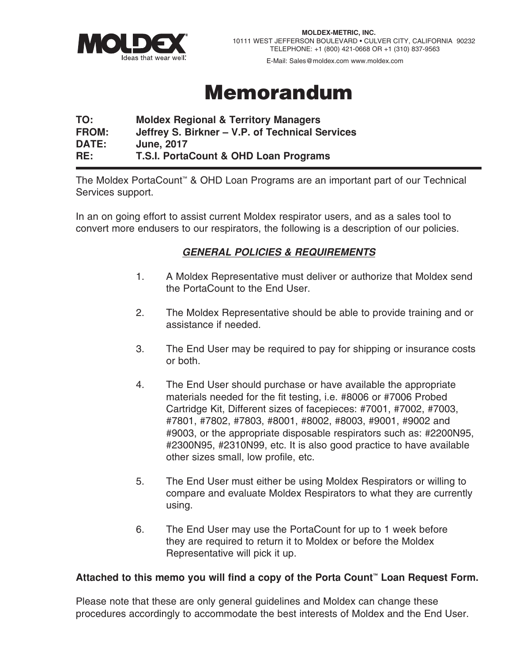

E-Mail: Sales@moldex.com www.moldex.com

### Memorandum

#### **TO: Moldex Regional & Territory Managers FROM: Jeffrey S. Birkner – V.P. of Technical Services DATE: June, 2017 RE: T.S.I. PortaCount & OHD Loan Programs**

The Moldex PortaCount™ & OHD Loan Programs are an important part of our Technical Services support.

In an on going effort to assist current Moldex respirator users, and as a sales tool to convert more endusers to our respirators, the following is a description of our policies.

### *GENERAL POLICIES & REQUIREMENTS*

- 1. A Moldex Representative must deliver or authorize that Moldex send the PortaCount to the End User.
- 2. The Moldex Representative should be able to provide training and or assistance if needed.
- 3. The End User may be required to pay for shipping or insurance costs or both.
- 4. The End User should purchase or have available the appropriate materials needed for the fit testing, i.e. #8006 or #7006 Probed Cartridge Kit, Different sizes of facepieces: #7001, #7002, #7003, #7801, #7802, #7803, #8001, #8002, #8003, #9001, #9002 and #9003, or the appropriate disposable respirators such as: #2200N95, #2300N95, #2310N99, etc. It is also good practice to have available other sizes small, low profile, etc.
- 5. The End User must either be using Moldex Respirators or willing to compare and evaluate Moldex Respirators to what they are currently using.
- 6. The End User may use the PortaCount for up to 1 week before they are required to return it to Moldex or before the Moldex Representative will pick it up.

#### **Attached to this memo you will find a copy of the Porta Count™ Loan Request Form.**

Please note that these are only general guidelines and Moldex can change these procedures accordingly to accommodate the best interests of Moldex and the End User.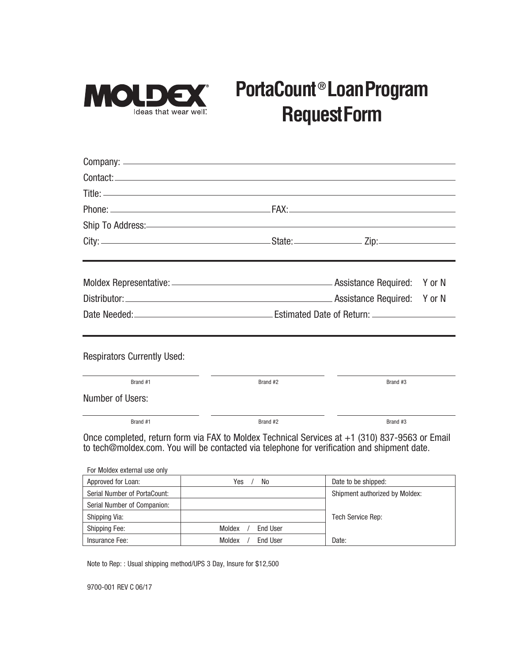

# **PortaCount ® LoanProgram RequestForm**

| <b>Respirators Currently Used:</b>                                                          |          |                                                                                                |  |
|---------------------------------------------------------------------------------------------|----------|------------------------------------------------------------------------------------------------|--|
| Brand #1                                                                                    | Brand #2 | Brand #3                                                                                       |  |
| Number of Users:                                                                            |          |                                                                                                |  |
| Brand #1                                                                                    | Brand #2 | Brand #3                                                                                       |  |
| to tech@moldex.com. You will be contacted via telephone for verification and shipment date. |          | Once completed, return form via FAX to Moldex Technical Services at +1 (310) 837-9563 or Email |  |
| For Moldex external use only                                                                |          |                                                                                                |  |

| Approved for Loan:           | No<br>Yes                 | Date to be shipped:            |
|------------------------------|---------------------------|--------------------------------|
| Serial Number of PortaCount: |                           | Shipment authorized by Moldex: |
| Serial Number of Companion:  |                           |                                |
| Shipping Via:                |                           | Tech Service Rep:              |
| <b>Shipping Fee:</b>         | Moldex<br><b>End User</b> |                                |
| Insurance Fee:               | Moldex<br><b>End User</b> | Date:                          |

Note to Rep: : Usual shipping method/UPS 3 Day, Insure for \$12,500

9700-001 REV C 06/17